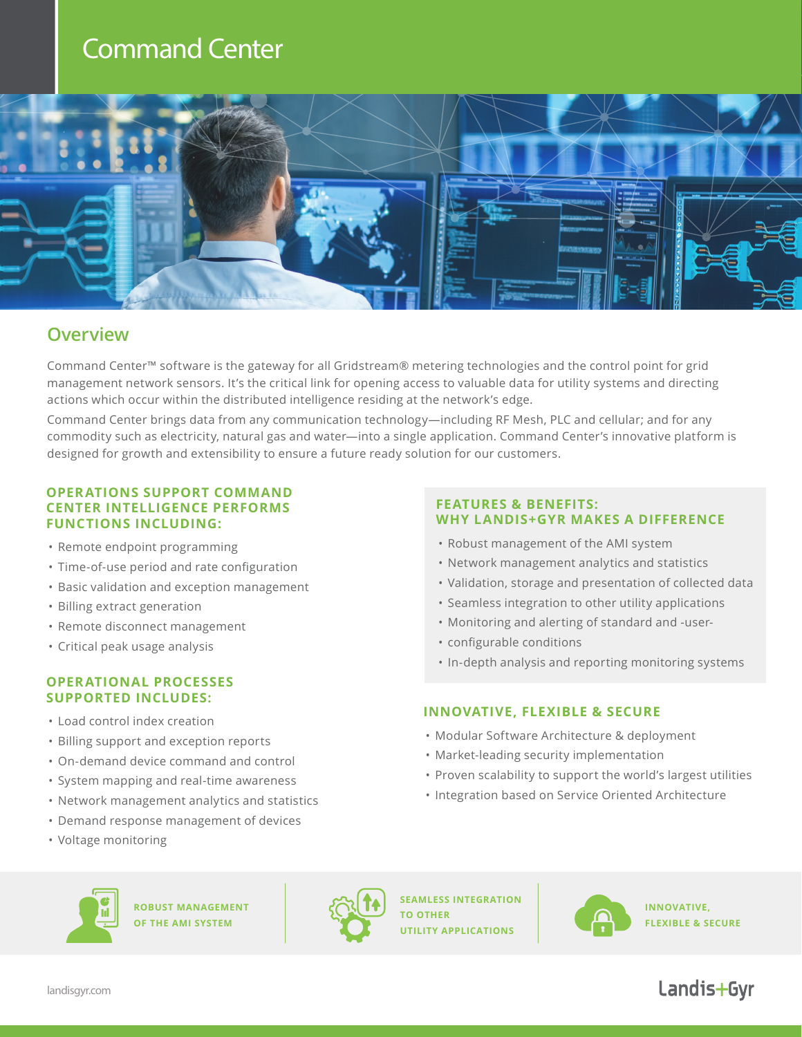## Command Center



### **Overview**

Command Center™ software is the gateway for all Gridstream® metering technologies and the control point for grid management network sensors. It's the critical link for opening access to valuable data for utility systems and directing actions which occur within the distributed intelligence residing at the network's edge.

Command Center brings data from any communication technology—including RF Mesh, PLC and cellular; and for any commodity such as electricity, natural gas and water—into a single application. Command Center's innovative platform is designed for growth and extensibility to ensure a future ready solution for our customers.

### **OPERATIONS SUPPORT COMMAND CENTER INTELLIGENCE PERFORMS FUNCTIONS INCLUDING:**

- Remote endpoint programming
- Time-of-use period and rate configuration
- Basic validation and exception management
- Billing extract generation
- Remote disconnect management
- Critical peak usage analysis

### **OPERATIONAL PROCESSES SUPPORTED INCLUDES:**

- Load control index creation
- Billing support and exception reports
- On-demand device command and control
- System mapping and real-time awareness
- Network management analytics and statistics
- Demand response management of devices
- Voltage monitoring

### **FEATURES & BENEFITS: WHY LANDIS+GYR MAKES A DIFFERENCE**

- Robust management of the AMI system
- Network management analytics and statistics
- Validation, storage and presentation of collected data
- Seamless integration to other utility applications
- Monitoring and alerting of standard and -user-
- configurable conditions
- In-depth analysis and reporting monitoring systems

### **INNOVATIVE, FLEXIBLE & SECURE**

- Modular Software Architecture & deployment
- Market-leading security implementation
- Proven scalability to support the world's largest utilities
- Integration based on Service Oriented Architecture



**ROBUST MANAGEMENT OF THE AMI SYSTEM**



**SEAMLESS INTEGRATION TO OTHER UTILITY APPLICATIONS**



**INNOVATIVE, FLEXIBLE & SECURE**